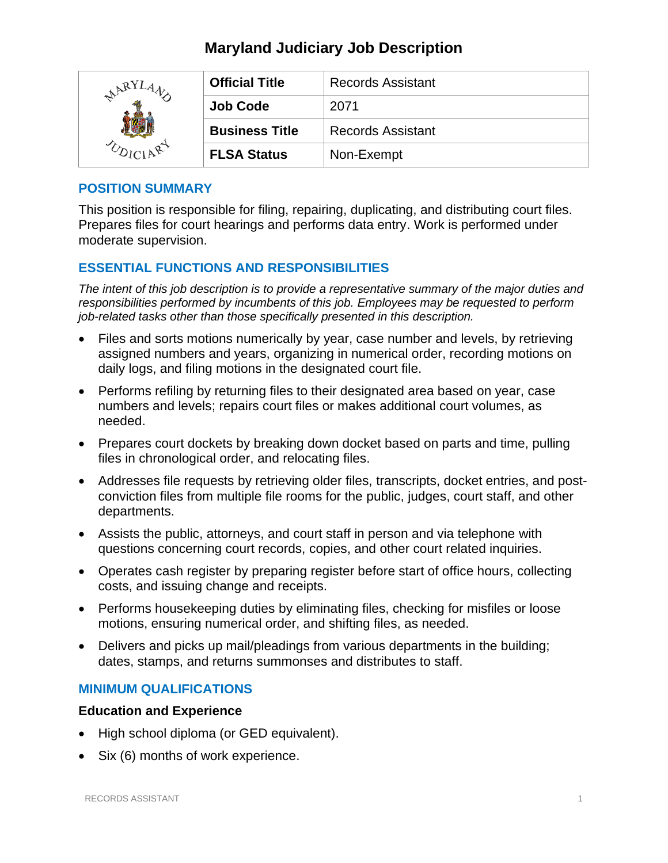# **Maryland Judiciary Job Description**

| ARY | <b>Official Title</b> | <b>Records Assistant</b> |
|-----|-----------------------|--------------------------|
|     | <b>Job Code</b>       | 2071                     |
|     | <b>Business Title</b> | <b>Records Assistant</b> |
|     | <b>FLSA Status</b>    | Non-Exempt               |

### **POSITION SUMMARY**

This position is responsible for filing, repairing, duplicating, and distributing court files. Prepares files for court hearings and performs data entry. Work is performed under moderate supervision.

### **ESSENTIAL FUNCTIONS AND RESPONSIBILITIES**

*The intent of this job description is to provide a representative summary of the major duties and responsibilities performed by incumbents of this job. Employees may be requested to perform job-related tasks other than those specifically presented in this description.*

- Files and sorts motions numerically by year, case number and levels, by retrieving assigned numbers and years, organizing in numerical order, recording motions on daily logs, and filing motions in the designated court file.
- Performs refiling by returning files to their designated area based on year, case numbers and levels; repairs court files or makes additional court volumes, as needed.
- Prepares court dockets by breaking down docket based on parts and time, pulling files in chronological order, and relocating files.
- Addresses file requests by retrieving older files, transcripts, docket entries, and postconviction files from multiple file rooms for the public, judges, court staff, and other departments.
- Assists the public, attorneys, and court staff in person and via telephone with questions concerning court records, copies, and other court related inquiries.
- Operates cash register by preparing register before start of office hours, collecting costs, and issuing change and receipts.
- Performs housekeeping duties by eliminating files, checking for misfiles or loose motions, ensuring numerical order, and shifting files, as needed.
- Delivers and picks up mail/pleadings from various departments in the building; dates, stamps, and returns summonses and distributes to staff.

### **MINIMUM QUALIFICATIONS**

### **Education and Experience**

- High school diploma (or GED equivalent).
- Six (6) months of work experience.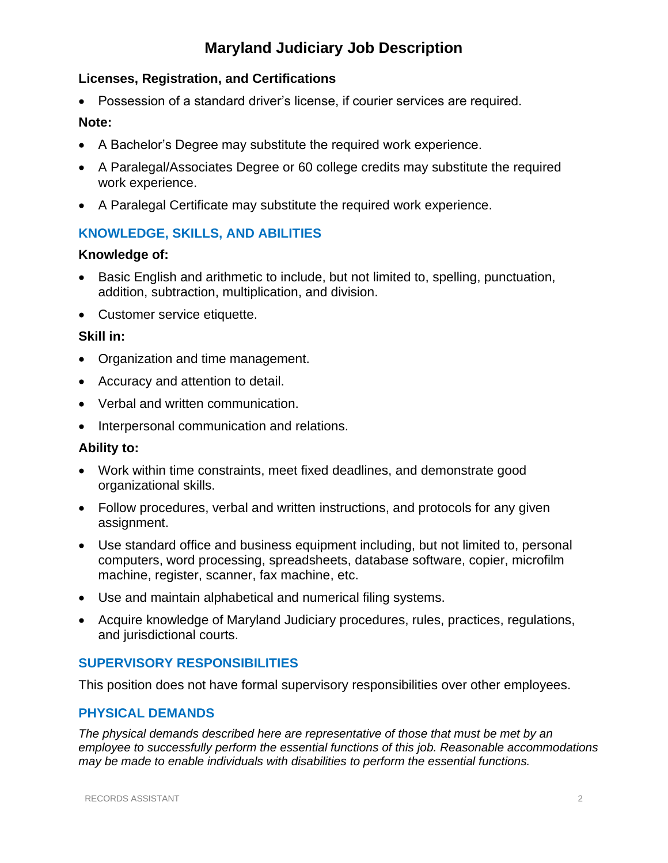# **Maryland Judiciary Job Description**

### **Licenses, Registration, and Certifications**

• Possession of a standard driver's license, if courier services are required.

### **Note:**

- A Bachelor's Degree may substitute the required work experience.
- A Paralegal/Associates Degree or 60 college credits may substitute the required work experience.
- A Paralegal Certificate may substitute the required work experience.

### **KNOWLEDGE, SKILLS, AND ABILITIES**

### **Knowledge of:**

- Basic English and arithmetic to include, but not limited to, spelling, punctuation, addition, subtraction, multiplication, and division.
- Customer service etiquette.

### **Skill in:**

- Organization and time management.
- Accuracy and attention to detail.
- Verbal and written communication.
- Interpersonal communication and relations.

#### **Ability to:**

- Work within time constraints, meet fixed deadlines, and demonstrate good organizational skills.
- Follow procedures, verbal and written instructions, and protocols for any given assignment.
- Use standard office and business equipment including, but not limited to, personal computers, word processing, spreadsheets, database software, copier, microfilm machine, register, scanner, fax machine, etc.
- Use and maintain alphabetical and numerical filing systems.
- Acquire knowledge of Maryland Judiciary procedures, rules, practices, regulations, and jurisdictional courts.

### **SUPERVISORY RESPONSIBILITIES**

This position does not have formal supervisory responsibilities over other employees.

### **PHYSICAL DEMANDS**

*The physical demands described here are representative of those that must be met by an employee to successfully perform the essential functions of this job. Reasonable accommodations may be made to enable individuals with disabilities to perform the essential functions.*